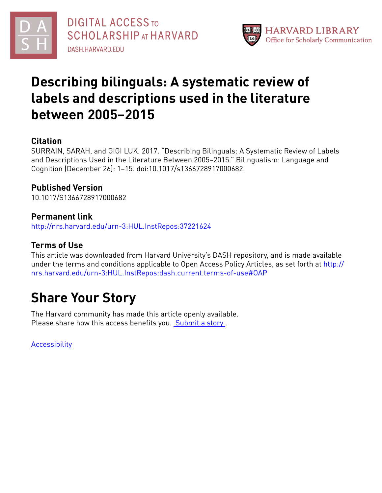



# **Describing bilinguals: A systematic review of labels and descriptions used in the literature between 2005–2015**

## **Citation**

SURRAIN, SARAH, and GIGI LUK. 2017. "Describing Bilinguals: A Systematic Review of Labels and Descriptions Used in the Literature Between 2005–2015." Bilingualism: Language and Cognition (December 26): 1–15. doi:10.1017/s1366728917000682.

## **Published Version**

10.1017/S1366728917000682

## **Permanent link**

<http://nrs.harvard.edu/urn-3:HUL.InstRepos:37221624>

## **Terms of Use**

This article was downloaded from Harvard University's DASH repository, and is made available under the terms and conditions applicable to Open Access Policy Articles, as set forth at [http://](http://nrs.harvard.edu/urn-3:HUL.InstRepos:dash.current.terms-of-use#OAP) [nrs.harvard.edu/urn-3:HUL.InstRepos:dash.current.terms-of-use#OAP](http://nrs.harvard.edu/urn-3:HUL.InstRepos:dash.current.terms-of-use#OAP)

# **Share Your Story**

The Harvard community has made this article openly available. Please share how this access benefits you. [Submit](http://osc.hul.harvard.edu/dash/open-access-feedback?handle=&title=Describing%20bilinguals:%20A%20systematic%20review%20of%20labels%20and%20descriptions%20used%20in%20the%20literature%20between%202005%E2%80%932015&community=1/3345927&collection=1/3345928&owningCollection1/3345928&harvardAuthors=d58227b57011a5c2860d154ff45aa5ba&department) a story.

[Accessibility](https://dash.harvard.edu/pages/accessibility)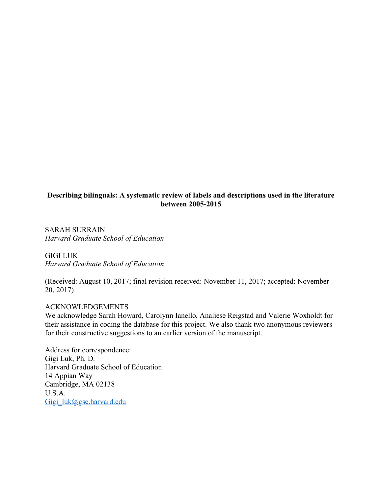#### **Describing bilinguals: A systematic review of labels and descriptions used in the literature between 2005-2015**

SARAH SURRAIN *Harvard Graduate School of Education*

GIGI LUK *Harvard Graduate School of Education*

(Received: August 10, 2017; final revision received: November 11, 2017; accepted: November 20, 2017)

### ACKNOWLEDGEMENTS

We acknowledge Sarah Howard, Carolynn Ianello, Analiese Reigstad and Valerie Woxholdt for their assistance in coding the database for this project. We also thank two anonymous reviewers for their constructive suggestions to an earlier version of the manuscript.

Address for correspondence: Gigi Luk, Ph. D. Harvard Graduate School of Education 14 Appian Way Cambridge, MA 02138 U.S.A. Gigi  $luk@ggse.harvard.edu$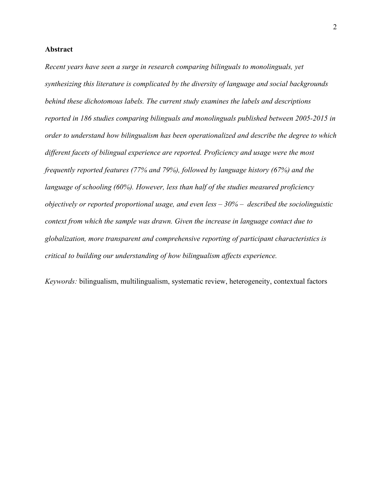#### **Abstract**

*Recent years have seen a surge in research comparing bilinguals to monolinguals, yet synthesizing this literature is complicated by the diversity of language and social backgrounds behind these dichotomous labels. The current study examines the labels and descriptions reported in 186 studies comparing bilinguals and monolinguals published between 2005-2015 in order to understand how bilingualism has been operationalized and describe the degree to which different facets of bilingual experience are reported. Proficiency and usage were the most frequently reported features (77% and 79%), followed by language history (67%) and the language of schooling (60%). However, less than half of the studies measured proficiency objectively or reported proportional usage, and even less – 30% – described the sociolinguistic context from which the sample was drawn. Given the increase in language contact due to globalization, more transparent and comprehensive reporting of participant characteristics is critical to building our understanding of how bilingualism affects experience.* 

*Keywords:* bilingualism, multilingualism, systematic review, heterogeneity, contextual factors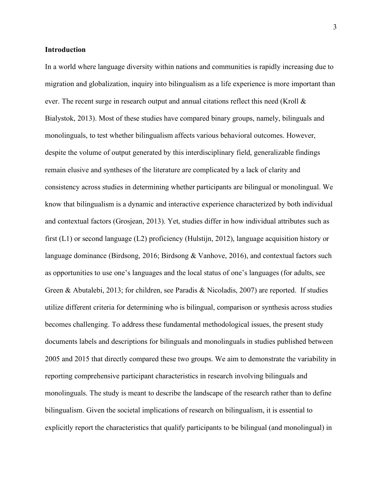#### **Introduction**

In a world where language diversity within nations and communities is rapidly increasing due to migration and globalization, inquiry into bilingualism as a life experience is more important than ever. The recent surge in research output and annual citations reflect this need (Kroll & Bialystok, 2013). Most of these studies have compared binary groups, namely, bilinguals and monolinguals, to test whether bilingualism affects various behavioral outcomes. However, despite the volume of output generated by this interdisciplinary field, generalizable findings remain elusive and syntheses of the literature are complicated by a lack of clarity and consistency across studies in determining whether participants are bilingual or monolingual. We know that bilingualism is a dynamic and interactive experience characterized by both individual and contextual factors (Grosjean, 2013). Yet, studies differ in how individual attributes such as first (L1) or second language (L2) proficiency (Hulstijn, 2012), language acquisition history or language dominance (Birdsong, 2016; Birdsong & Vanhove, 2016), and contextual factors such as opportunities to use one's languages and the local status of one's languages (for adults, see Green & Abutalebi, 2013; for children, see Paradis & Nicoladis, 2007) are reported. If studies utilize different criteria for determining who is bilingual, comparison or synthesis across studies becomes challenging. To address these fundamental methodological issues, the present study documents labels and descriptions for bilinguals and monolinguals in studies published between 2005 and 2015 that directly compared these two groups. We aim to demonstrate the variability in reporting comprehensive participant characteristics in research involving bilinguals and monolinguals. The study is meant to describe the landscape of the research rather than to define bilingualism. Given the societal implications of research on bilingualism, it is essential to explicitly report the characteristics that qualify participants to be bilingual (and monolingual) in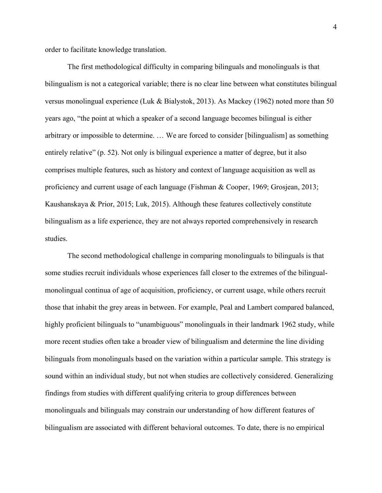order to facilitate knowledge translation.

The first methodological difficulty in comparing bilinguals and monolinguals is that bilingualism is not a categorical variable; there is no clear line between what constitutes bilingual versus monolingual experience (Luk & Bialystok, 2013). As Mackey (1962) noted more than 50 years ago, "the point at which a speaker of a second language becomes bilingual is either arbitrary or impossible to determine. … We are forced to consider [bilingualism] as something entirely relative" (p. 52). Not only is bilingual experience a matter of degree, but it also comprises multiple features, such as history and context of language acquisition as well as proficiency and current usage of each language (Fishman & Cooper, 1969; Grosjean, 2013; Kaushanskaya & Prior, 2015; Luk, 2015). Although these features collectively constitute bilingualism as a life experience, they are not always reported comprehensively in research studies.

The second methodological challenge in comparing monolinguals to bilinguals is that some studies recruit individuals whose experiences fall closer to the extremes of the bilingualmonolingual continua of age of acquisition, proficiency, or current usage, while others recruit those that inhabit the grey areas in between. For example, Peal and Lambert compared balanced, highly proficient bilinguals to "unambiguous" monolinguals in their landmark 1962 study, while more recent studies often take a broader view of bilingualism and determine the line dividing bilinguals from monolinguals based on the variation within a particular sample. This strategy is sound within an individual study, but not when studies are collectively considered. Generalizing findings from studies with different qualifying criteria to group differences between monolinguals and bilinguals may constrain our understanding of how different features of bilingualism are associated with different behavioral outcomes. To date, there is no empirical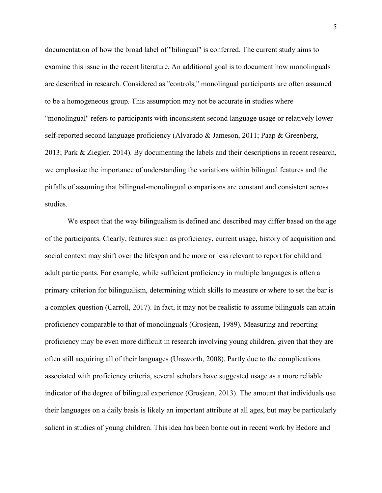documentation of how the broad label of "bilingual" is conferred. The current study aims to examine this issue in the recent literature. An additional goal is to document how monolinguals are described in research. Considered as "controls," monolingual participants are often assumed to be a homogeneous group. This assumption may not be accurate in studies where "monolingual" refers to participants with inconsistent second language usage or relatively lower self-reported second language proficiency (Alvarado & Jameson, 2011; Paap & Greenberg, 2013; Park & Ziegler, 2014). By documenting the labels and their descriptions in recent research, we emphasize the importance of understanding the variations within bilingual features and the pitfalls of assuming that bilingual-monolingual comparisons are constant and consistent across studies.

We expect that the way bilingualism is defined and described may differ based on the age of the participants. Clearly, features such as proficiency, current usage, history of acquisition and social context may shift over the lifespan and be more or less relevant to report for child and adult participants. For example, while sufficient proficiency in multiple languages is often a primary criterion for bilingualism, determining which skills to measure or where to set the bar is a complex question (Carroll, 2017). In fact, it may not be realistic to assume bilinguals can attain proficiency comparable to that of monolinguals (Grosjean, 1989). Measuring and reporting proficiency may be even more difficult in research involving young children, given that they are often still acquiring all of their languages (Unsworth, 2008). Partly due to the complications associated with proficiency criteria, several scholars have suggested usage as a more reliable indicator of the degree of bilingual experience (Grosjean, 2013). The amount that individuals use their languages on a daily basis is likely an important attribute at all ages, but may be particularly salient in studies of young children. This idea has been borne out in recent work by Bedore and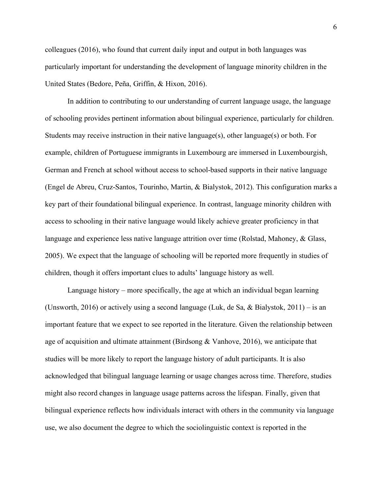colleagues (2016), who found that current daily input and output in both languages was particularly important for understanding the development of language minority children in the United States (Bedore, Peña, Griffin, & Hixon, 2016).

In addition to contributing to our understanding of current language usage, the language of schooling provides pertinent information about bilingual experience, particularly for children. Students may receive instruction in their native language(s), other language(s) or both. For example, children of Portuguese immigrants in Luxembourg are immersed in Luxembourgish, German and French at school without access to school-based supports in their native language (Engel de Abreu, Cruz-Santos, Tourinho, Martin, & Bialystok, 2012). This configuration marks a key part of their foundational bilingual experience. In contrast, language minority children with access to schooling in their native language would likely achieve greater proficiency in that language and experience less native language attrition over time (Rolstad, Mahoney, & Glass, 2005). We expect that the language of schooling will be reported more frequently in studies of children, though it offers important clues to adults' language history as well.

Language history – more specifically, the age at which an individual began learning (Unsworth, 2016) or actively using a second language (Luk, de Sa, & Bialystok, 2011) – is an important feature that we expect to see reported in the literature. Given the relationship between age of acquisition and ultimate attainment (Birdsong & Vanhove, 2016), we anticipate that studies will be more likely to report the language history of adult participants. It is also acknowledged that bilingual language learning or usage changes across time. Therefore, studies might also record changes in language usage patterns across the lifespan. Finally, given that bilingual experience reflects how individuals interact with others in the community via language use, we also document the degree to which the sociolinguistic context is reported in the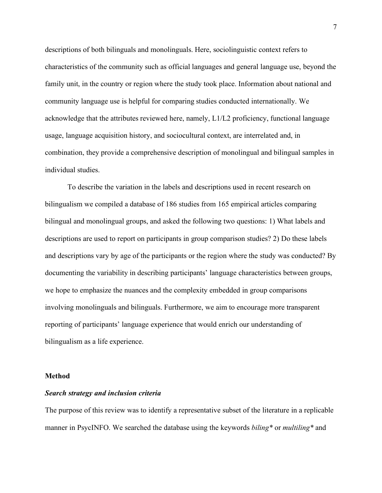descriptions of both bilinguals and monolinguals. Here, sociolinguistic context refers to characteristics of the community such as official languages and general language use, beyond the family unit, in the country or region where the study took place. Information about national and community language use is helpful for comparing studies conducted internationally. We acknowledge that the attributes reviewed here, namely,  $L1/L2$  proficiency, functional language usage, language acquisition history, and sociocultural context, are interrelated and, in combination, they provide a comprehensive description of monolingual and bilingual samples in individual studies.

To describe the variation in the labels and descriptions used in recent research on bilingualism we compiled a database of 186 studies from 165 empirical articles comparing bilingual and monolingual groups, and asked the following two questions: 1) What labels and descriptions are used to report on participants in group comparison studies? 2) Do these labels and descriptions vary by age of the participants or the region where the study was conducted? By documenting the variability in describing participants' language characteristics between groups, we hope to emphasize the nuances and the complexity embedded in group comparisons involving monolinguals and bilinguals. Furthermore, we aim to encourage more transparent reporting of participants' language experience that would enrich our understanding of bilingualism as a life experience.

#### **Method**

#### *Search strategy and inclusion criteria*

The purpose of this review was to identify a representative subset of the literature in a replicable manner in PsycINFO. We searched the database using the keywords *biling\** or *multiling\** and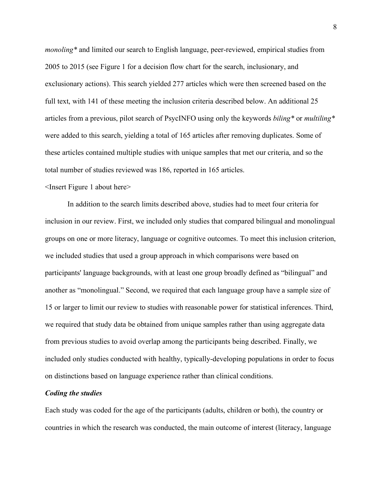*monoling\** and limited our search to English language, peer-reviewed, empirical studies from 2005 to 2015 (see Figure 1 for a decision flow chart for the search, inclusionary, and exclusionary actions). This search yielded 277 articles which were then screened based on the full text, with 141 of these meeting the inclusion criteria described below. An additional 25 articles from a previous, pilot search of PsycINFO using only the keywords *biling\** or *multiling\** were added to this search, yielding a total of 165 articles after removing duplicates. Some of these articles contained multiple studies with unique samples that met our criteria, and so the total number of studies reviewed was 186, reported in 165 articles.

#### <Insert Figure 1 about here>

In addition to the search limits described above, studies had to meet four criteria for inclusion in our review. First, we included only studies that compared bilingual and monolingual groups on one or more literacy, language or cognitive outcomes. To meet this inclusion criterion, we included studies that used a group approach in which comparisons were based on participants' language backgrounds, with at least one group broadly defined as "bilingual" and another as "monolingual." Second, we required that each language group have a sample size of 15 or larger to limit our review to studies with reasonable power for statistical inferences. Third, we required that study data be obtained from unique samples rather than using aggregate data from previous studies to avoid overlap among the participants being described. Finally, we included only studies conducted with healthy, typically-developing populations in order to focus on distinctions based on language experience rather than clinical conditions.

#### *Coding the studies*

Each study was coded for the age of the participants (adults, children or both), the country or countries in which the research was conducted, the main outcome of interest (literacy, language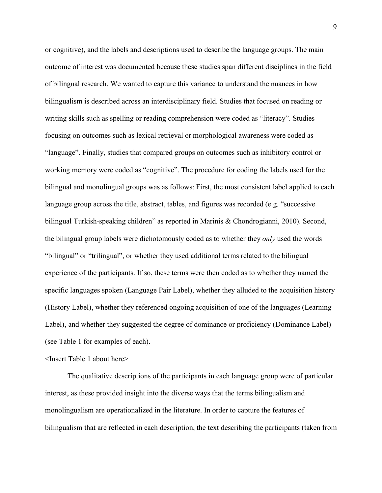or cognitive), and the labels and descriptions used to describe the language groups. The main outcome of interest was documented because these studies span different disciplines in the field of bilingual research. We wanted to capture this variance to understand the nuances in how bilingualism is described across an interdisciplinary field. Studies that focused on reading or writing skills such as spelling or reading comprehension were coded as "literacy". Studies focusing on outcomes such as lexical retrieval or morphological awareness were coded as "language". Finally, studies that compared groups on outcomes such as inhibitory control or working memory were coded as "cognitive". The procedure for coding the labels used for the bilingual and monolingual groups was as follows: First, the most consistent label applied to each language group across the title, abstract, tables, and figures was recorded (e.g. "successive bilingual Turkish-speaking children" as reported in Marinis & Chondrogianni, 2010). Second, the bilingual group labels were dichotomously coded as to whether they *only* used the words "bilingual" or "trilingual", or whether they used additional terms related to the bilingual experience of the participants. If so, these terms were then coded as to whether they named the specific languages spoken (Language Pair Label), whether they alluded to the acquisition history (History Label), whether they referenced ongoing acquisition of one of the languages (Learning Label), and whether they suggested the degree of dominance or proficiency (Dominance Label) (see Table 1 for examples of each).

<Insert Table 1 about here>

The qualitative descriptions of the participants in each language group were of particular interest, as these provided insight into the diverse ways that the terms bilingualism and monolingualism are operationalized in the literature. In order to capture the features of bilingualism that are reflected in each description, the text describing the participants (taken from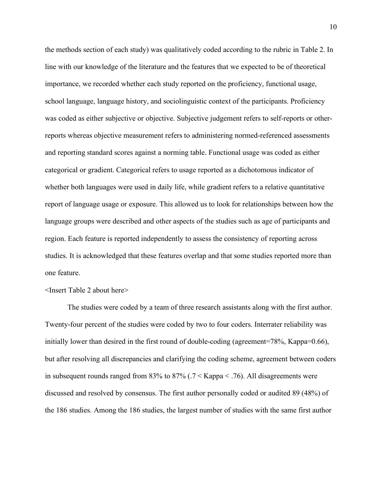the methods section of each study) was qualitatively coded according to the rubric in Table 2. In line with our knowledge of the literature and the features that we expected to be of theoretical importance, we recorded whether each study reported on the proficiency, functional usage, school language, language history, and sociolinguistic context of the participants. Proficiency was coded as either subjective or objective. Subjective judgement refers to self-reports or otherreports whereas objective measurement refers to administering normed-referenced assessments and reporting standard scores against a norming table. Functional usage was coded as either categorical or gradient. Categorical refers to usage reported as a dichotomous indicator of whether both languages were used in daily life, while gradient refers to a relative quantitative report of language usage or exposure. This allowed us to look for relationships between how the language groups were described and other aspects of the studies such as age of participants and region. Each feature is reported independently to assess the consistency of reporting across studies. It is acknowledged that these features overlap and that some studies reported more than one feature.

<Insert Table 2 about here>

The studies were coded by a team of three research assistants along with the first author. Twenty-four percent of the studies were coded by two to four coders. Interrater reliability was initially lower than desired in the first round of double-coding (agreement=78%, Kappa=0.66), but after resolving all discrepancies and clarifying the coding scheme, agreement between coders in subsequent rounds ranged from 83% to 87% (.7 < Kappa < .76). All disagreements were discussed and resolved by consensus. The first author personally coded or audited 89 (48%) of the 186 studies. Among the 186 studies, the largest number of studies with the same first author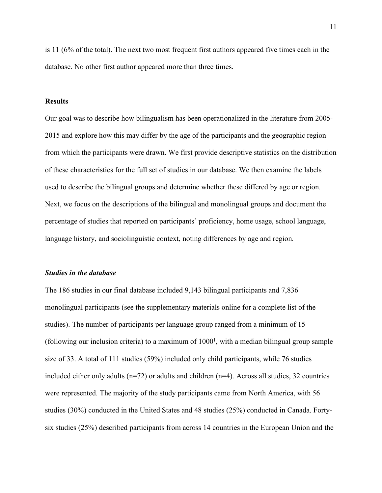is 11 (6% of the total). The next two most frequent first authors appeared five times each in the database. No other first author appeared more than three times.

#### **Results**

Our goal was to describe how bilingualism has been operationalized in the literature from 2005- 2015 and explore how this may differ by the age of the participants and the geographic region from which the participants were drawn. We first provide descriptive statistics on the distribution of these characteristics for the full set of studies in our database. We then examine the labels used to describe the bilingual groups and determine whether these differed by age or region. Next, we focus on the descriptions of the bilingual and monolingual groups and document the percentage of studies that reported on participants' proficiency, home usage, school language, language history, and sociolinguistic context, noting differences by age and region.

#### *Studies in the database*

The 186 studies in our final database included 9,143 bilingual participants and 7,836 monolingual participants (see the supplementary materials online for a complete list of the studies). The number of participants per language group ranged from a minimum of 15 (following our inclusion criteria) to a maximum of  $1000<sup>1</sup>$ , with a median bilingual group sample size of 33. A total of 111 studies (59%) included only child participants, while 76 studies included either only adults ( $n=72$ ) or adults and children ( $n=4$ ). Across all studies, 32 countries were represented. The majority of the study participants came from North America, with 56 studies (30%) conducted in the United States and 48 studies (25%) conducted in Canada. Fortysix studies (25%) described participants from across 14 countries in the European Union and the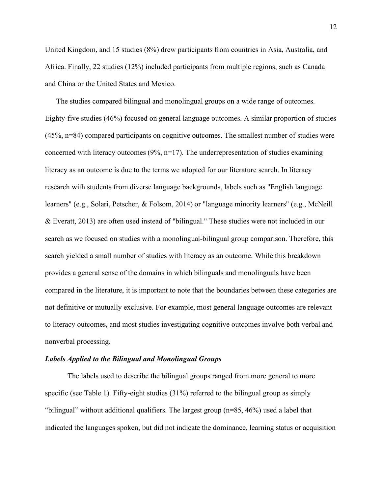United Kingdom, and 15 studies (8%) drew participants from countries in Asia, Australia, and Africa. Finally, 22 studies (12%) included participants from multiple regions, such as Canada and China or the United States and Mexico.

The studies compared bilingual and monolingual groups on a wide range of outcomes. Eighty-five studies (46%) focused on general language outcomes. A similar proportion of studies (45%, n=84) compared participants on cognitive outcomes. The smallest number of studies were concerned with literacy outcomes (9%, n=17). The underrepresentation of studies examining literacy as an outcome is due to the terms we adopted for our literature search. In literacy research with students from diverse language backgrounds, labels such as "English language learners" (e.g., Solari, Petscher, & Folsom, 2014) or "language minority learners" (e.g., McNeill & Everatt, 2013) are often used instead of "bilingual." These studies were not included in our search as we focused on studies with a monolingual-bilingual group comparison. Therefore, this search yielded a small number of studies with literacy as an outcome. While this breakdown provides a general sense of the domains in which bilinguals and monolinguals have been compared in the literature, it is important to note that the boundaries between these categories are not definitive or mutually exclusive. For example, most general language outcomes are relevant to literacy outcomes, and most studies investigating cognitive outcomes involve both verbal and nonverbal processing.

#### *Labels Applied to the Bilingual and Monolingual Groups*

The labels used to describe the bilingual groups ranged from more general to more specific (see Table 1). Fifty-eight studies (31%) referred to the bilingual group as simply "bilingual" without additional qualifiers. The largest group (n=85, 46%) used a label that indicated the languages spoken, but did not indicate the dominance, learning status or acquisition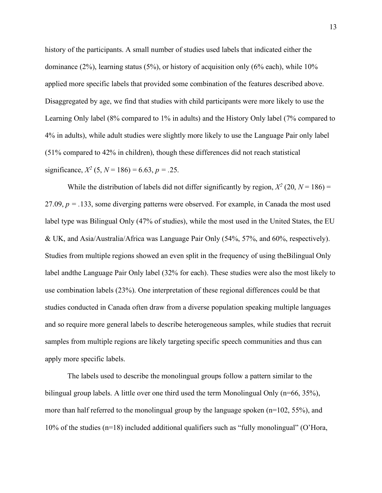history of the participants. A small number of studies used labels that indicated either the dominance  $(2\%)$ , learning status  $(5\%)$ , or history of acquisition only  $(6\%$  each), while  $10\%$ applied more specific labels that provided some combination of the features described above. Disaggregated by age, we find that studies with child participants were more likely to use the Learning Only label (8% compared to 1% in adults) and the History Only label (7% compared to 4% in adults), while adult studies were slightly more likely to use the Language Pair only label (51% compared to 42% in children), though these differences did not reach statistical significance,  $X^2$  (5,  $N = 186$ ) = 6.63,  $p = 0.25$ .

While the distribution of labels did not differ significantly by region,  $X^2$  (20,  $N = 186$ ) = 27.09,  $p = 0.133$ , some diverging patterns were observed. For example, in Canada the most used label type was Bilingual Only (47% of studies), while the most used in the United States, the EU & UK, and Asia/Australia/Africa was Language Pair Only (54%, 57%, and 60%, respectively). Studies from multiple regions showed an even split in the frequency of using theBilingual Only label andthe Language Pair Only label (32% for each). These studies were also the most likely to use combination labels (23%). One interpretation of these regional differences could be that studies conducted in Canada often draw from a diverse population speaking multiple languages and so require more general labels to describe heterogeneous samples, while studies that recruit samples from multiple regions are likely targeting specific speech communities and thus can apply more specific labels.

The labels used to describe the monolingual groups follow a pattern similar to the bilingual group labels. A little over one third used the term Monolingual Only (n=66, 35%), more than half referred to the monolingual group by the language spoken (n=102, 55%), and 10% of the studies (n=18) included additional qualifiers such as "fully monolingual" (O'Hora,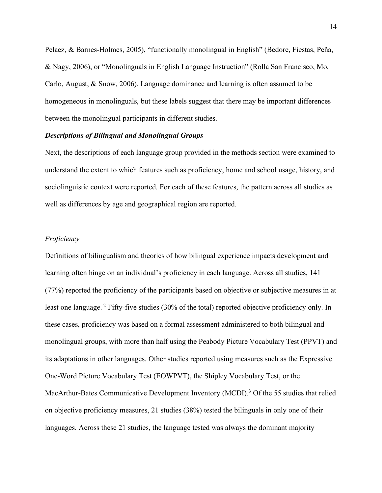Pelaez, & Barnes-Holmes, 2005), "functionally monolingual in English" (Bedore, Fiestas, Peña, & Nagy, 2006), or "Monolinguals in English Language Instruction" (Rolla San Francisco, Mo, Carlo, August, & Snow, 2006). Language dominance and learning is often assumed to be homogeneous in monolinguals, but these labels suggest that there may be important differences between the monolingual participants in different studies.

#### *Descriptions of Bilingual and Monolingual Groups*

Next, the descriptions of each language group provided in the methods section were examined to understand the extent to which features such as proficiency, home and school usage, history, and sociolinguistic context were reported. For each of these features, the pattern across all studies as well as differences by age and geographical region are reported.

#### *Proficiency*

Definitions of bilingualism and theories of how bilingual experience impacts development and learning often hinge on an individual's proficiency in each language. Across all studies, 141 (77%) reported the proficiency of the participants based on objective or subjective measures in at least one language. <sup>2</sup> Fifty-five studies (30% of the total) reported objective proficiency only. In these cases, proficiency was based on a formal assessment administered to both bilingual and monolingual groups, with more than half using the Peabody Picture Vocabulary Test (PPVT) and its adaptations in other languages. Other studies reported using measures such as the Expressive One-Word Picture Vocabulary Test (EOWPVT), the Shipley Vocabulary Test, or the MacArthur-Bates Communicative Development Inventory (MCDI).<sup>3</sup> Of the 55 studies that relied on objective proficiency measures, 21 studies (38%) tested the bilinguals in only one of their languages. Across these 21 studies, the language tested was always the dominant majority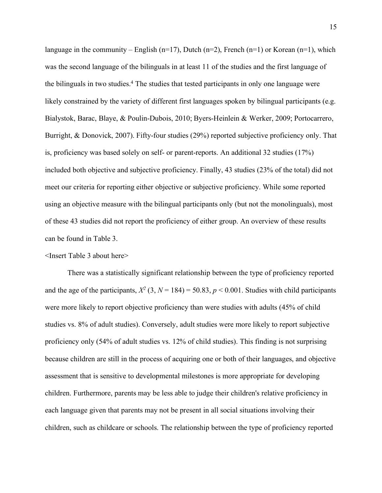language in the community – English (n=17), Dutch (n=2), French (n=1) or Korean (n=1), which was the second language of the bilinguals in at least 11 of the studies and the first language of the bilinguals in two studies.4 The studies that tested participants in only one language were likely constrained by the variety of different first languages spoken by bilingual participants (e.g. Bialystok, Barac, Blaye, & Poulin-Dubois, 2010; Byers-Heinlein & Werker, 2009; Portocarrero, Burright, & Donovick, 2007). Fifty-four studies (29%) reported subjective proficiency only. That is, proficiency was based solely on self- or parent-reports. An additional 32 studies (17%) included both objective and subjective proficiency. Finally, 43 studies (23% of the total) did not meet our criteria for reporting either objective or subjective proficiency. While some reported using an objective measure with the bilingual participants only (but not the monolinguals), most of these 43 studies did not report the proficiency of either group. An overview of these results can be found in Table 3.

<Insert Table 3 about here>

There was a statistically significant relationship between the type of proficiency reported and the age of the participants,  $X^2$  (3,  $N = 184$ ) = 50.83,  $p < 0.001$ . Studies with child participants were more likely to report objective proficiency than were studies with adults (45% of child studies vs. 8% of adult studies). Conversely, adult studies were more likely to report subjective proficiency only (54% of adult studies vs. 12% of child studies). This finding is not surprising because children are still in the process of acquiring one or both of their languages, and objective assessment that is sensitive to developmental milestones is more appropriate for developing children. Furthermore, parents may be less able to judge their children's relative proficiency in each language given that parents may not be present in all social situations involving their children, such as childcare or schools. The relationship between the type of proficiency reported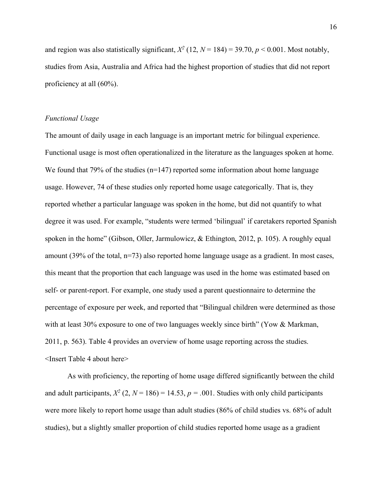and region was also statistically significant,  $X^2$  (12,  $N = 184$ ) = 39.70,  $p < 0.001$ . Most notably, studies from Asia, Australia and Africa had the highest proportion of studies that did not report proficiency at all (60%).

#### *Functional Usage*

The amount of daily usage in each language is an important metric for bilingual experience. Functional usage is most often operationalized in the literature as the languages spoken at home. We found that 79% of the studies  $(n=147)$  reported some information about home language usage. However, 74 of these studies only reported home usage categorically. That is, they reported whether a particular language was spoken in the home, but did not quantify to what degree it was used. For example, "students were termed 'bilingual' if caretakers reported Spanish spoken in the home" (Gibson, Oller, Jarmulowicz, & Ethington, 2012, p. 105). A roughly equal amount (39% of the total, n=73) also reported home language usage as a gradient. In most cases, this meant that the proportion that each language was used in the home was estimated based on self- or parent-report. For example, one study used a parent questionnaire to determine the percentage of exposure per week, and reported that "Bilingual children were determined as those with at least 30% exposure to one of two languages weekly since birth" (Yow & Markman, 2011, p. 563). Table 4 provides an overview of home usage reporting across the studies. <Insert Table 4 about here>

As with proficiency, the reporting of home usage differed significantly between the child and adult participants,  $X^2$  (2,  $N = 186$ ) = 14.53,  $p = .001$ . Studies with only child participants were more likely to report home usage than adult studies (86% of child studies vs. 68% of adult studies), but a slightly smaller proportion of child studies reported home usage as a gradient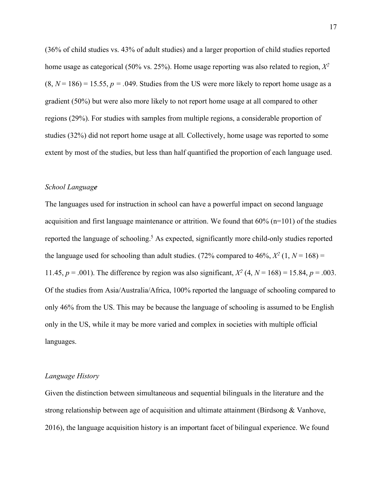(36% of child studies vs. 43% of adult studies) and a larger proportion of child studies reported home usage as categorical (50% vs. 25%). Home usage reporting was also related to region, *X2*  $(8, N = 186) = 15.55$ ,  $p = .049$ . Studies from the US were more likely to report home usage as a gradient (50%) but were also more likely to not report home usage at all compared to other regions (29%). For studies with samples from multiple regions, a considerable proportion of studies (32%) did not report home usage at all. Collectively, home usage was reported to some extent by most of the studies, but less than half quantified the proportion of each language used.

#### *School Language*

The languages used for instruction in school can have a powerful impact on second language acquisition and first language maintenance or attrition. We found that 60% (n=101) of the studies reported the language of schooling. <sup>5</sup> As expected, significantly more child-only studies reported the language used for schooling than adult studies. (72% compared to 46%,  $X^2$  (1,  $N = 168$ ) = 11.45,  $p = .001$ ). The difference by region was also significant,  $X^2$  (4,  $N = 168$ ) = 15.84,  $p = .003$ . Of the studies from Asia/Australia/Africa, 100% reported the language of schooling compared to only 46% from the US. This may be because the language of schooling is assumed to be English only in the US, while it may be more varied and complex in societies with multiple official languages.

#### *Language History*

Given the distinction between simultaneous and sequential bilinguals in the literature and the strong relationship between age of acquisition and ultimate attainment (Birdsong & Vanhove, 2016), the language acquisition history is an important facet of bilingual experience. We found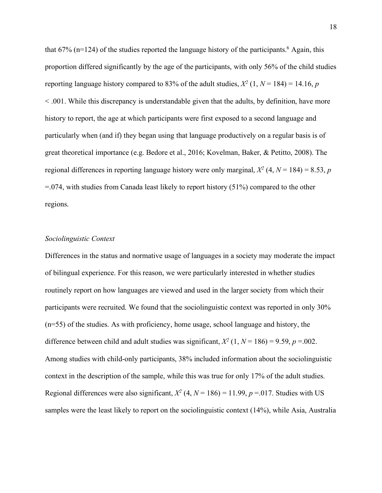that  $67\%$  (n=124) of the studies reported the language history of the participants.<sup>6</sup> Again, this proportion differed significantly by the age of the participants, with only 56% of the child studies reporting language history compared to 83% of the adult studies,  $X^2$  (1,  $N = 184$ ) = 14.16, *p* < .001. While this discrepancy is understandable given that the adults, by definition, have more history to report, the age at which participants were first exposed to a second language and particularly when (and if) they began using that language productively on a regular basis is of great theoretical importance (e.g. Bedore et al., 2016; Kovelman, Baker, & Petitto, 2008). The regional differences in reporting language history were only marginal,  $X^2$  (4,  $N = 184$ ) = 8.53, *p*  $=$ .074, with studies from Canada least likely to report history (51%) compared to the other regions.

#### *Sociolinguistic Context*

Differences in the status and normative usage of languages in a society may moderate the impact of bilingual experience. For this reason, we were particularly interested in whether studies routinely report on how languages are viewed and used in the larger society from which their participants were recruited. We found that the sociolinguistic context was reported in only 30% (n=55) of the studies. As with proficiency, home usage, school language and history, the difference between child and adult studies was significant,  $X^2$  (1,  $N = 186$ ) = 9.59,  $p = .002$ . Among studies with child-only participants, 38% included information about the sociolinguistic context in the description of the sample, while this was true for only 17% of the adult studies. Regional differences were also significant,  $X^2$  (4,  $N = 186$ ) = 11.99,  $p = .017$ . Studies with US samples were the least likely to report on the sociolinguistic context (14%), while Asia, Australia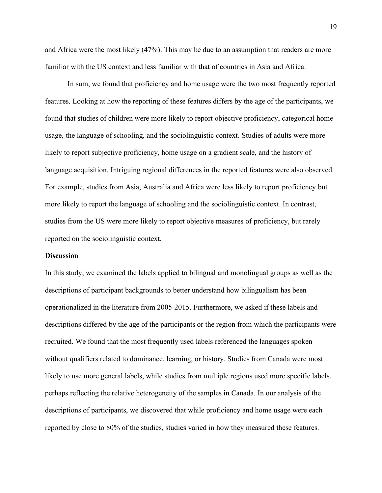and Africa were the most likely (47%). This may be due to an assumption that readers are more familiar with the US context and less familiar with that of countries in Asia and Africa.

In sum, we found that proficiency and home usage were the two most frequently reported features. Looking at how the reporting of these features differs by the age of the participants, we found that studies of children were more likely to report objective proficiency, categorical home usage, the language of schooling, and the sociolinguistic context. Studies of adults were more likely to report subjective proficiency, home usage on a gradient scale, and the history of language acquisition. Intriguing regional differences in the reported features were also observed. For example, studies from Asia, Australia and Africa were less likely to report proficiency but more likely to report the language of schooling and the sociolinguistic context. In contrast, studies from the US were more likely to report objective measures of proficiency, but rarely reported on the sociolinguistic context.

#### **Discussion**

In this study, we examined the labels applied to bilingual and monolingual groups as well as the descriptions of participant backgrounds to better understand how bilingualism has been operationalized in the literature from 2005-2015. Furthermore, we asked if these labels and descriptions differed by the age of the participants or the region from which the participants were recruited. We found that the most frequently used labels referenced the languages spoken without qualifiers related to dominance, learning, or history. Studies from Canada were most likely to use more general labels, while studies from multiple regions used more specific labels, perhaps reflecting the relative heterogeneity of the samples in Canada. In our analysis of the descriptions of participants, we discovered that while proficiency and home usage were each reported by close to 80% of the studies, studies varied in how they measured these features.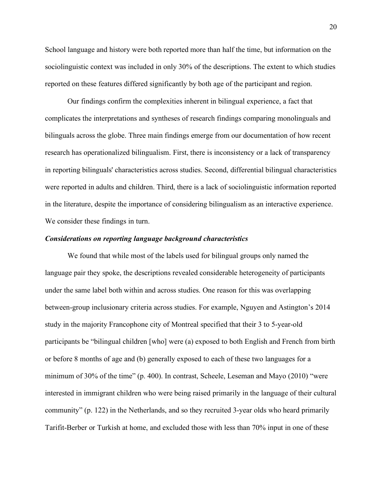School language and history were both reported more than half the time, but information on the sociolinguistic context was included in only 30% of the descriptions. The extent to which studies reported on these features differed significantly by both age of the participant and region.

Our findings confirm the complexities inherent in bilingual experience, a fact that complicates the interpretations and syntheses of research findings comparing monolinguals and bilinguals across the globe. Three main findings emerge from our documentation of how recent research has operationalized bilingualism. First, there is inconsistency or a lack of transparency in reporting bilinguals' characteristics across studies. Second, differential bilingual characteristics were reported in adults and children. Third, there is a lack of sociolinguistic information reported in the literature, despite the importance of considering bilingualism as an interactive experience. We consider these findings in turn.

#### *Considerations on reporting language background characteristics*

We found that while most of the labels used for bilingual groups only named the language pair they spoke, the descriptions revealed considerable heterogeneity of participants under the same label both within and across studies. One reason for this was overlapping between-group inclusionary criteria across studies. For example, Nguyen and Astington's 2014 study in the majority Francophone city of Montreal specified that their 3 to 5-year-old participants be "bilingual children [who] were (a) exposed to both English and French from birth or before 8 months of age and (b) generally exposed to each of these two languages for a minimum of 30% of the time" (p. 400). In contrast, Scheele, Leseman and Mayo (2010) "were interested in immigrant children who were being raised primarily in the language of their cultural community" (p. 122) in the Netherlands, and so they recruited 3-year olds who heard primarily Tarifit-Berber or Turkish at home, and excluded those with less than 70% input in one of these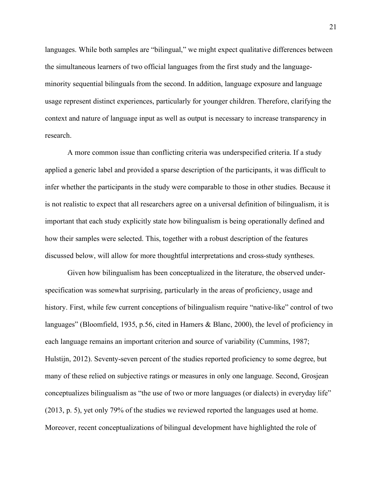languages. While both samples are "bilingual," we might expect qualitative differences between the simultaneous learners of two official languages from the first study and the languageminority sequential bilinguals from the second. In addition, language exposure and language usage represent distinct experiences, particularly for younger children. Therefore, clarifying the context and nature of language input as well as output is necessary to increase transparency in research.

A more common issue than conflicting criteria was underspecified criteria. If a study applied a generic label and provided a sparse description of the participants, it was difficult to infer whether the participants in the study were comparable to those in other studies. Because it is not realistic to expect that all researchers agree on a universal definition of bilingualism, it is important that each study explicitly state how bilingualism is being operationally defined and how their samples were selected. This, together with a robust description of the features discussed below, will allow for more thoughtful interpretations and cross-study syntheses.

Given how bilingualism has been conceptualized in the literature, the observed underspecification was somewhat surprising, particularly in the areas of proficiency, usage and history. First, while few current conceptions of bilingualism require "native-like" control of two languages" (Bloomfield, 1935, p.56, cited in Hamers & Blanc, 2000), the level of proficiency in each language remains an important criterion and source of variability (Cummins, 1987; Hulstijn, 2012). Seventy-seven percent of the studies reported proficiency to some degree, but many of these relied on subjective ratings or measures in only one language. Second, Grosjean conceptualizes bilingualism as "the use of two or more languages (or dialects) in everyday life" (2013, p. 5), yet only 79% of the studies we reviewed reported the languages used at home. Moreover, recent conceptualizations of bilingual development have highlighted the role of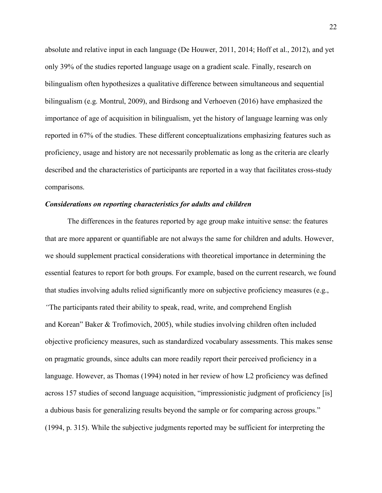absolute and relative input in each language (De Houwer, 2011, 2014; Hoff et al., 2012), and yet only 39% of the studies reported language usage on a gradient scale. Finally, research on bilingualism often hypothesizes a qualitative difference between simultaneous and sequential bilingualism (e.g. Montrul, 2009), and Birdsong and Verhoeven (2016) have emphasized the importance of age of acquisition in bilingualism, yet the history of language learning was only reported in 67% of the studies. These different conceptualizations emphasizing features such as proficiency, usage and history are not necessarily problematic as long as the criteria are clearly described and the characteristics of participants are reported in a way that facilitates cross-study comparisons.

#### *Considerations on reporting characteristics for adults and children*

The differences in the features reported by age group make intuitive sense: the features that are more apparent or quantifiable are not always the same for children and adults. However, we should supplement practical considerations with theoretical importance in determining the essential features to report for both groups. For example, based on the current research, we found that studies involving adults relied significantly more on subjective proficiency measures (e.g., *"*The participants rated their ability to speak, read, write, and comprehend English and Korean" Baker & Trofimovich, 2005), while studies involving children often included objective proficiency measures, such as standardized vocabulary assessments. This makes sense on pragmatic grounds, since adults can more readily report their perceived proficiency in a language. However, as Thomas (1994) noted in her review of how L2 proficiency was defined across 157 studies of second language acquisition, "impressionistic judgment of proficiency [is] a dubious basis for generalizing results beyond the sample or for comparing across groups." (1994, p. 315). While the subjective judgments reported may be sufficient for interpreting the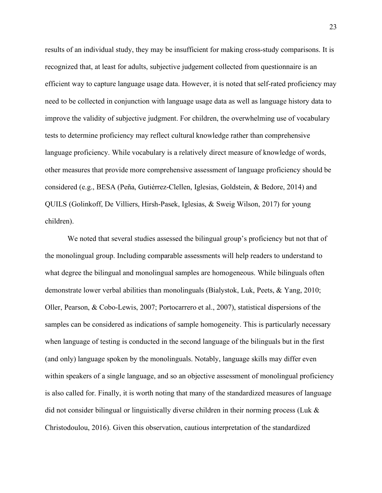results of an individual study, they may be insufficient for making cross-study comparisons. It is recognized that, at least for adults, subjective judgement collected from questionnaire is an efficient way to capture language usage data. However, it is noted that self-rated proficiency may need to be collected in conjunction with language usage data as well as language history data to improve the validity of subjective judgment. For children, the overwhelming use of vocabulary tests to determine proficiency may reflect cultural knowledge rather than comprehensive language proficiency. While vocabulary is a relatively direct measure of knowledge of words, other measures that provide more comprehensive assessment of language proficiency should be considered (e.g., BESA (Peña, Gutiérrez-Clellen, Iglesias, Goldstein, & Bedore, 2014) and QUILS (Golinkoff, De Villiers, Hirsh-Pasek, Iglesias, & Sweig Wilson, 2017) for young children).

We noted that several studies assessed the bilingual group's proficiency but not that of the monolingual group. Including comparable assessments will help readers to understand to what degree the bilingual and monolingual samples are homogeneous. While bilinguals often demonstrate lower verbal abilities than monolinguals (Bialystok, Luk, Peets, & Yang, 2010; Oller, Pearson, & Cobo-Lewis, 2007; Portocarrero et al., 2007), statistical dispersions of the samples can be considered as indications of sample homogeneity. This is particularly necessary when language of testing is conducted in the second language of the bilinguals but in the first (and only) language spoken by the monolinguals. Notably, language skills may differ even within speakers of a single language, and so an objective assessment of monolingual proficiency is also called for. Finally, it is worth noting that many of the standardized measures of language did not consider bilingual or linguistically diverse children in their norming process (Luk & Christodoulou, 2016). Given this observation, cautious interpretation of the standardized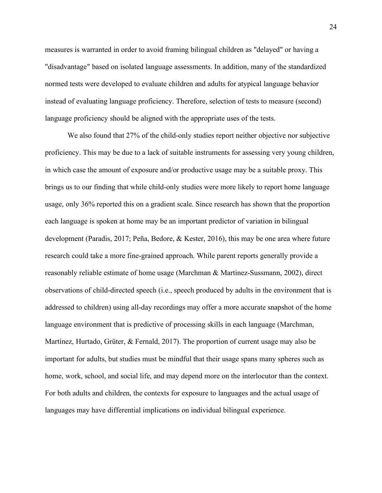measures is warranted in order to avoid framing bilingual children as "delayed" or having a "disadvantage" based on isolated language assessments. In addition, many of the standardized normed tests were developed to evaluate children and adults for atypical language behavior instead of evaluating language proficiency. Therefore, selection of tests to measure (second) language proficiency should be aligned with the appropriate uses of the tests.

We also found that 27% of the child-only studies report neither objective nor subjective proficiency. This may be due to a lack of suitable instruments for assessing very young children, in which case the amount of exposure and/or productive usage may be a suitable proxy. This brings us to our finding that while child-only studies were more likely to report home language usage, only 36% reported this on a gradient scale. Since research has shown that the proportion each language is spoken at home may be an important predictor of variation in bilingual development (Paradis, 2017; Peña, Bedore, & Kester, 2016), this may be one area where future research could take a more fine-grained approach. While parent reports generally provide a reasonably reliable estimate of home usage (Marchman & Martinez-Sussmann, 2002), direct observations of child-directed speech (i.e., speech produced by adults in the environment that is addressed to children) using all-day recordings may offer a more accurate snapshot of the home language environment that is predictive of processing skills in each language (Marchman, Martínez, Hurtado, Grüter, & Fernald, 2017). The proportion of current usage may also be important for adults, but studies must be mindful that their usage spans many spheres such as home, work, school, and social life, and may depend more on the interlocutor than the context. For both adults and children, the contexts for exposure to languages and the actual usage of languages may have differential implications on individual bilingual experience.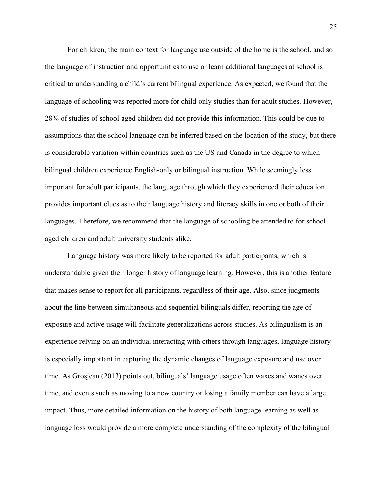For children, the main context for language use outside of the home is the school, and so the language of instruction and opportunities to use or learn additional languages at school is critical to understanding a child's current bilingual experience. As expected, we found that the language of schooling was reported more for child-only studies than for adult studies. However, 28% of studies of school-aged children did not provide this information. This could be due to assumptions that the school language can be inferred based on the location of the study, but there is considerable variation within countries such as the US and Canada in the degree to which bilingual children experience English-only or bilingual instruction. While seemingly less important for adult participants, the language through which they experienced their education provides important clues as to their language history and literacy skills in one or both of their languages. Therefore, we recommend that the language of schooling be attended to for schoolaged children and adult university students alike.

Language history was more likely to be reported for adult participants, which is understandable given their longer history of language learning. However, this is another feature that makes sense to report for all participants, regardless of their age. Also, since judgments about the line between simultaneous and sequential bilinguals differ, reporting the age of exposure and active usage will facilitate generalizations across studies. As bilingualism is an experience relying on an individual interacting with others through languages, language history is especially important in capturing the dynamic changes of language exposure and use over time. As Grosjean (2013) points out, bilinguals' language usage often waxes and wanes over time, and events such as moving to a new country or losing a family member can have a large impact. Thus, more detailed information on the history of both language learning as well as language loss would provide a more complete understanding of the complexity of the bilingual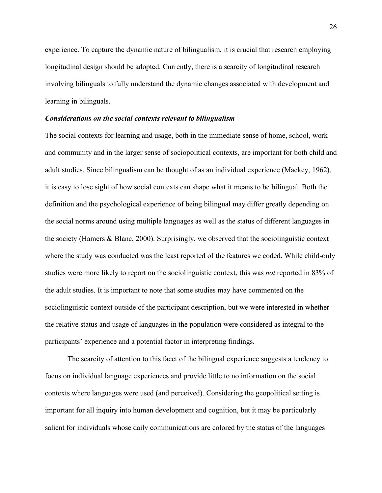experience. To capture the dynamic nature of bilingualism, it is crucial that research employing longitudinal design should be adopted. Currently, there is a scarcity of longitudinal research involving bilinguals to fully understand the dynamic changes associated with development and learning in bilinguals.

#### *Considerations on the social contexts relevant to bilingualism*

The social contexts for learning and usage, both in the immediate sense of home, school, work and community and in the larger sense of sociopolitical contexts, are important for both child and adult studies. Since bilingualism can be thought of as an individual experience (Mackey, 1962), it is easy to lose sight of how social contexts can shape what it means to be bilingual. Both the definition and the psychological experience of being bilingual may differ greatly depending on the social norms around using multiple languages as well as the status of different languages in the society (Hamers & Blanc, 2000). Surprisingly, we observed that the sociolinguistic context where the study was conducted was the least reported of the features we coded. While child-only studies were more likely to report on the sociolinguistic context, this was *not* reported in 83% of the adult studies. It is important to note that some studies may have commented on the sociolinguistic context outside of the participant description, but we were interested in whether the relative status and usage of languages in the population were considered as integral to the participants' experience and a potential factor in interpreting findings.

The scarcity of attention to this facet of the bilingual experience suggests a tendency to focus on individual language experiences and provide little to no information on the social contexts where languages were used (and perceived). Considering the geopolitical setting is important for all inquiry into human development and cognition, but it may be particularly salient for individuals whose daily communications are colored by the status of the languages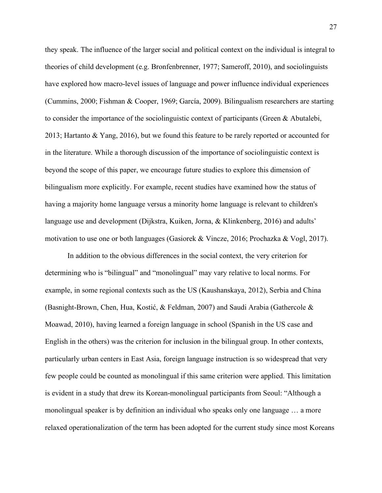they speak. The influence of the larger social and political context on the individual is integral to theories of child development (e.g. Bronfenbrenner, 1977; Sameroff, 2010), and sociolinguists have explored how macro-level issues of language and power influence individual experiences (Cummins, 2000; Fishman & Cooper, 1969; García, 2009). Bilingualism researchers are starting to consider the importance of the sociolinguistic context of participants (Green & Abutalebi, 2013; Hartanto & Yang, 2016), but we found this feature to be rarely reported or accounted for in the literature. While a thorough discussion of the importance of sociolinguistic context is beyond the scope of this paper, we encourage future studies to explore this dimension of bilingualism more explicitly. For example, recent studies have examined how the status of having a majority home language versus a minority home language is relevant to children's language use and development (Dijkstra, Kuiken, Jorna, & Klinkenberg, 2016) and adults' motivation to use one or both languages (Gasiorek & Vincze, 2016; Prochazka & Vogl, 2017).

In addition to the obvious differences in the social context, the very criterion for determining who is "bilingual" and "monolingual" may vary relative to local norms. For example, in some regional contexts such as the US (Kaushanskaya, 2012), Serbia and China (Basnight-Brown, Chen, Hua, Kostić, & Feldman, 2007) and Saudi Arabia (Gathercole & Moawad, 2010), having learned a foreign language in school (Spanish in the US case and English in the others) was the criterion for inclusion in the bilingual group. In other contexts, particularly urban centers in East Asia, foreign language instruction is so widespread that very few people could be counted as monolingual if this same criterion were applied. This limitation is evident in a study that drew its Korean-monolingual participants from Seoul: "Although a monolingual speaker is by definition an individual who speaks only one language … a more relaxed operationalization of the term has been adopted for the current study since most Koreans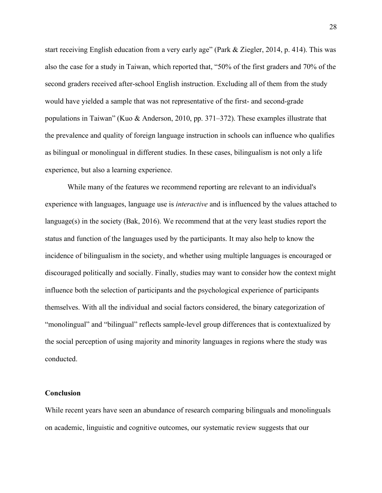start receiving English education from a very early age" (Park & Ziegler, 2014, p. 414). This was also the case for a study in Taiwan, which reported that, "50% of the first graders and 70% of the second graders received after-school English instruction. Excluding all of them from the study would have yielded a sample that was not representative of the first- and second-grade populations in Taiwan" (Kuo & Anderson, 2010, pp. 371–372). These examples illustrate that the prevalence and quality of foreign language instruction in schools can influence who qualifies as bilingual or monolingual in different studies. In these cases, bilingualism is not only a life experience, but also a learning experience.

While many of the features we recommend reporting are relevant to an individual's experience with languages, language use is *interactive* and is influenced by the values attached to language(s) in the society (Bak, 2016). We recommend that at the very least studies report the status and function of the languages used by the participants. It may also help to know the incidence of bilingualism in the society, and whether using multiple languages is encouraged or discouraged politically and socially. Finally, studies may want to consider how the context might influence both the selection of participants and the psychological experience of participants themselves. With all the individual and social factors considered, the binary categorization of "monolingual" and "bilingual" reflects sample-level group differences that is contextualized by the social perception of using majority and minority languages in regions where the study was conducted.

#### **Conclusion**

While recent years have seen an abundance of research comparing bilinguals and monolinguals on academic, linguistic and cognitive outcomes, our systematic review suggests that our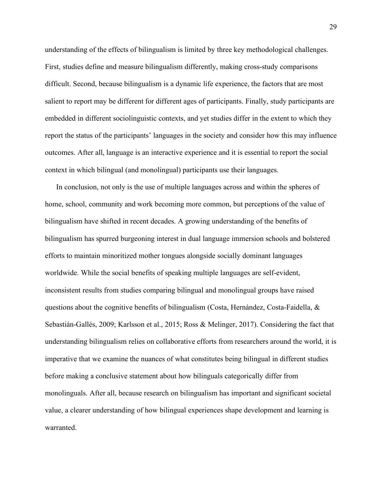understanding of the effects of bilingualism is limited by three key methodological challenges. First, studies define and measure bilingualism differently, making cross-study comparisons difficult. Second, because bilingualism is a dynamic life experience, the factors that are most salient to report may be different for different ages of participants. Finally, study participants are embedded in different sociolinguistic contexts, and yet studies differ in the extent to which they report the status of the participants' languages in the society and consider how this may influence outcomes. After all, language is an interactive experience and it is essential to report the social context in which bilingual (and monolingual) participants use their languages.

In conclusion, not only is the use of multiple languages across and within the spheres of home, school, community and work becoming more common, but perceptions of the value of bilingualism have shifted in recent decades. A growing understanding of the benefits of bilingualism has spurred burgeoning interest in dual language immersion schools and bolstered efforts to maintain minoritized mother tongues alongside socially dominant languages worldwide. While the social benefits of speaking multiple languages are self-evident, inconsistent results from studies comparing bilingual and monolingual groups have raised questions about the cognitive benefits of bilingualism (Costa, Hernández, Costa-Faidella, & Sebastián-Gallés, 2009; Karlsson et al., 2015; Ross & Melinger, 2017). Considering the fact that understanding bilingualism relies on collaborative efforts from researchers around the world, it is imperative that we examine the nuances of what constitutes being bilingual in different studies before making a conclusive statement about how bilinguals categorically differ from monolinguals. After all, because research on bilingualism has important and significant societal value, a clearer understanding of how bilingual experiences shape development and learning is warranted.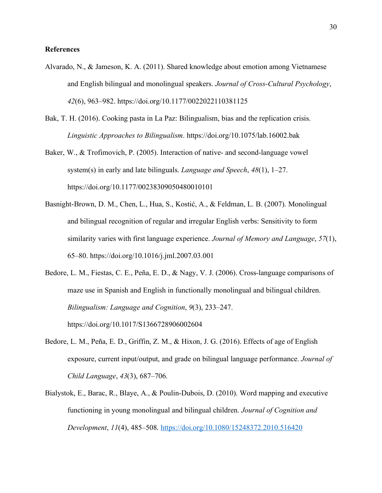#### **References**

- Alvarado, N., & Jameson, K. A. (2011). Shared knowledge about emotion among Vietnamese and English bilingual and monolingual speakers. *Journal of Cross-Cultural Psychology*, *42*(6), 963–982. https://doi.org/10.1177/0022022110381125
- Bak, T. H. (2016). Cooking pasta in La Paz: Bilingualism, bias and the replication crisis. *Linguistic Approaches to Bilingualism*. https://doi.org/10.1075/lab.16002.bak
- Baker, W., & Trofimovich, P. (2005). Interaction of native- and second-language vowel system(s) in early and late bilinguals. *Language and Speech*, *48*(1), 1–27. https://doi.org/10.1177/00238309050480010101
- Basnight-Brown, D. M., Chen, L., Hua, S., Kostić, A., & Feldman, L. B. (2007). Monolingual and bilingual recognition of regular and irregular English verbs: Sensitivity to form similarity varies with first language experience. *Journal of Memory and Language*, *57*(1), 65–80. https://doi.org/10.1016/j.jml.2007.03.001
- Bedore, L. M., Fiestas, C. E., Peña, E. D., & Nagy, V. J. (2006). Cross-language comparisons of maze use in Spanish and English in functionally monolingual and bilingual children. *Bilingualism: Language and Cognition*, *9*(3), 233–247. https://doi.org/10.1017/S1366728906002604
- Bedore, L. M., Peña, E. D., Griffin, Z. M., & Hixon, J. G. (2016). Effects of age of English exposure, current input/output, and grade on bilingual language performance. *Journal of Child Language*, *43*(3), 687–706.
- Bialystok, E., Barac, R., Blaye, A., & Poulin-Dubois, D. (2010). Word mapping and executive functioning in young monolingual and bilingual children. *Journal of Cognition and Development*, *11*(4), 485–508. https://doi.org/10.1080/15248372.2010.516420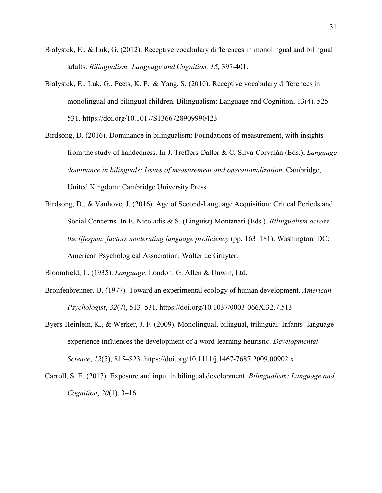- Bialystok, E., & Luk, G. (2012). Receptive vocabulary differences in monolingual and bilingual adults. *Bilingualism: Language and Cognition, 15,* 397-401.
- Bialystok, E., Luk, G., Peets, K. F., & Yang, S. (2010). Receptive vocabulary differences in monolingual and bilingual children. Bilingualism: Language and Cognition, 13(4), 525– 531. https://doi.org/10.1017/S1366728909990423
- Birdsong, D. (2016). Dominance in bilingualism: Foundations of measurement, with insights from the study of handedness. In J. Treffers-Daller & C. Silva-Corvalán (Eds.), *Language dominance in bilinguals: Issues of measurement and operationalization*. Cambridge, United Kingdom: Cambridge University Press.
- Birdsong, D., & Vanhove, J. (2016). Age of Second-Language Acquisition: Critical Periods and Social Concerns. In E. Nicoladis & S. (Linguist) Montanari (Eds.), *Bilingualism across the lifespan: factors moderating language proficiency* (pp. 163–181). Washington, DC: American Psychological Association: Walter de Gruyter.

Bloomfield, L. (1935). *Language*. London: G. Allen & Unwin, Ltd.

- Bronfenbrenner, U. (1977). Toward an experimental ecology of human development. *American Psychologist*, *32*(7), 513–531. https://doi.org/10.1037/0003-066X.32.7.513
- Byers-Heinlein, K., & Werker, J. F. (2009). Monolingual, bilingual, trilingual: Infants' language experience influences the development of a word-learning heuristic. *Developmental Science*, *12*(5), 815–823. https://doi.org/10.1111/j.1467-7687.2009.00902.x
- Carroll, S. E. (2017). Exposure and input in bilingual development. *Bilingualism: Language and Cognition*, *20*(1), 3–16.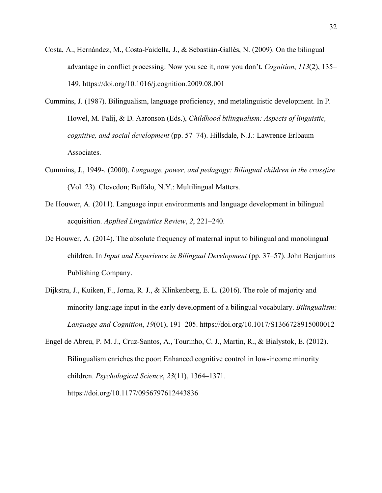- Costa, A., Hernández, M., Costa-Faidella, J., & Sebastián-Gallés, N. (2009). On the bilingual advantage in conflict processing: Now you see it, now you don't. *Cognition*, *113*(2), 135– 149. https://doi.org/10.1016/j.cognition.2009.08.001
- Cummins, J. (1987). Bilingualism, language proficiency, and metalinguistic development. In P. Howel, M. Palij, & D. Aaronson (Eds.), *Childhood bilingualism: Aspects of linguistic, cognitive, and social development* (pp. 57–74). Hillsdale, N.J.: Lawrence Erlbaum Associates.
- Cummins, J., 1949-. (2000). *Language, power, and pedagogy: Bilingual children in the crossfire* (Vol. 23). Clevedon; Buffalo, N.Y.: Multilingual Matters.
- De Houwer, A. (2011). Language input environments and language development in bilingual acquisition. *Applied Linguistics Review*, *2*, 221–240.
- De Houwer, A. (2014). The absolute frequency of maternal input to bilingual and monolingual children. In *Input and Experience in Bilingual Development* (pp. 37–57). John Benjamins Publishing Company.
- Dijkstra, J., Kuiken, F., Jorna, R. J., & Klinkenberg, E. L. (2016). The role of majority and minority language input in the early development of a bilingual vocabulary. *Bilingualism: Language and Cognition*, *19*(01), 191–205. https://doi.org/10.1017/S1366728915000012
- Engel de Abreu, P. M. J., Cruz-Santos, A., Tourinho, C. J., Martin, R., & Bialystok, E. (2012). Bilingualism enriches the poor: Enhanced cognitive control in low-income minority children. *Psychological Science*, *23*(11), 1364–1371. https://doi.org/10.1177/0956797612443836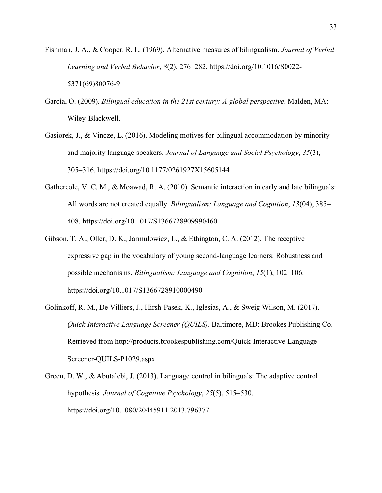- Fishman, J. A., & Cooper, R. L. (1969). Alternative measures of bilingualism. *Journal of Verbal Learning and Verbal Behavior*, *8*(2), 276–282. https://doi.org/10.1016/S0022- 5371(69)80076-9
- García, O. (2009). *Bilingual education in the 21st century: A global perspective*. Malden, MA: Wiley-Blackwell.
- Gasiorek, J., & Vincze, L. (2016). Modeling motives for bilingual accommodation by minority and majority language speakers. *Journal of Language and Social Psychology*, *35*(3), 305–316. https://doi.org/10.1177/0261927X15605144
- Gathercole, V. C. M., & Moawad, R. A. (2010). Semantic interaction in early and late bilinguals: All words are not created equally. *Bilingualism: Language and Cognition*, *13*(04), 385– 408. https://doi.org/10.1017/S1366728909990460
- Gibson, T. A., Oller, D. K., Jarmulowicz, L., & Ethington, C. A. (2012). The receptive– expressive gap in the vocabulary of young second-language learners: Robustness and possible mechanisms. *Bilingualism: Language and Cognition*, *15*(1), 102–106. https://doi.org/10.1017/S1366728910000490
- Golinkoff, R. M., De Villiers, J., Hirsh-Pasek, K., Iglesias, A., & Sweig Wilson, M. (2017). *Quick Interactive Language Screener (QUILS)*. Baltimore, MD: Brookes Publishing Co. Retrieved from http://products.brookespublishing.com/Quick-Interactive-Language-Screener-QUILS-P1029.aspx
- Green, D. W., & Abutalebi, J. (2013). Language control in bilinguals: The adaptive control hypothesis. *Journal of Cognitive Psychology*, *25*(5), 515–530. https://doi.org/10.1080/20445911.2013.796377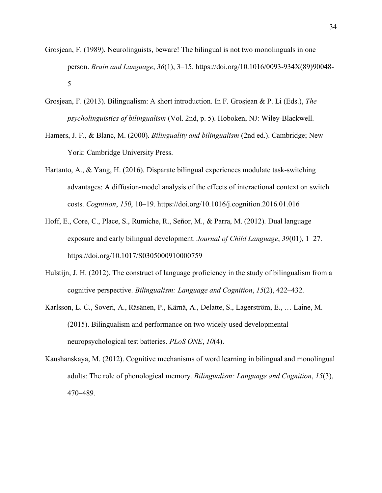- Grosjean, F. (1989). Neurolinguists, beware! The bilingual is not two monolinguals in one person. *Brain and Language*, *36*(1), 3–15. https://doi.org/10.1016/0093-934X(89)90048- 5
- Grosjean, F. (2013). Bilingualism: A short introduction. In F. Grosjean & P. Li (Eds.), *The psycholinguistics of bilingualism* (Vol. 2nd, p. 5). Hoboken, NJ: Wiley-Blackwell.
- Hamers, J. F., & Blanc, M. (2000). *Bilinguality and bilingualism* (2nd ed.). Cambridge; New York: Cambridge University Press.
- Hartanto, A., & Yang, H. (2016). Disparate bilingual experiences modulate task-switching advantages: A diffusion-model analysis of the effects of interactional context on switch costs. *Cognition*, *150*, 10–19. https://doi.org/10.1016/j.cognition.2016.01.016
- Hoff, E., Core, C., Place, S., Rumiche, R., Señor, M., & Parra, M. (2012). Dual language exposure and early bilingual development. *Journal of Child Language*, *39*(01), 1–27. https://doi.org/10.1017/S0305000910000759
- Hulstijn, J. H. (2012). The construct of language proficiency in the study of bilingualism from a cognitive perspective. *Bilingualism: Language and Cognition*, *15*(2), 422–432.
- Karlsson, L. C., Soveri, A., Räsänen, P., Kärnä, A., Delatte, S., Lagerström, E., … Laine, M. (2015). Bilingualism and performance on two widely used developmental neuropsychological test batteries. *PLoS ONE*, *10*(4).
- Kaushanskaya, M. (2012). Cognitive mechanisms of word learning in bilingual and monolingual adults: The role of phonological memory. *Bilingualism: Language and Cognition*, *15*(3), 470–489.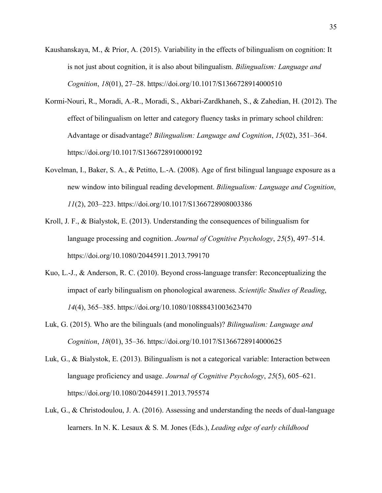- Kaushanskaya, M., & Prior, A. (2015). Variability in the effects of bilingualism on cognition: It is not just about cognition, it is also about bilingualism. *Bilingualism: Language and Cognition*, *18*(01), 27–28. https://doi.org/10.1017/S1366728914000510
- Kormi-Nouri, R., Moradi, A.-R., Moradi, S., Akbari-Zardkhaneh, S., & Zahedian, H. (2012). The effect of bilingualism on letter and category fluency tasks in primary school children: Advantage or disadvantage? *Bilingualism: Language and Cognition*, *15*(02), 351–364. https://doi.org/10.1017/S1366728910000192
- Kovelman, I., Baker, S. A., & Petitto, L.-A. (2008). Age of first bilingual language exposure as a new window into bilingual reading development. *Bilingualism: Language and Cognition*, *11*(2), 203–223. https://doi.org/10.1017/S1366728908003386
- Kroll, J. F., & Bialystok, E. (2013). Understanding the consequences of bilingualism for language processing and cognition. *Journal of Cognitive Psychology*, *25*(5), 497–514. https://doi.org/10.1080/20445911.2013.799170
- Kuo, L.-J., & Anderson, R. C. (2010). Beyond cross-language transfer: Reconceptualizing the impact of early bilingualism on phonological awareness. *Scientific Studies of Reading*, *14*(4), 365–385. https://doi.org/10.1080/10888431003623470
- Luk, G. (2015). Who are the bilinguals (and monolinguals)? *Bilingualism: Language and Cognition*, *18*(01), 35–36. https://doi.org/10.1017/S1366728914000625
- Luk, G., & Bialystok, E. (2013). Bilingualism is not a categorical variable: Interaction between language proficiency and usage. *Journal of Cognitive Psychology*, *25*(5), 605–621. https://doi.org/10.1080/20445911.2013.795574
- Luk, G., & Christodoulou, J. A. (2016). Assessing and understanding the needs of dual-language learners. In N. K. Lesaux & S. M. Jones (Eds.), *Leading edge of early childhood*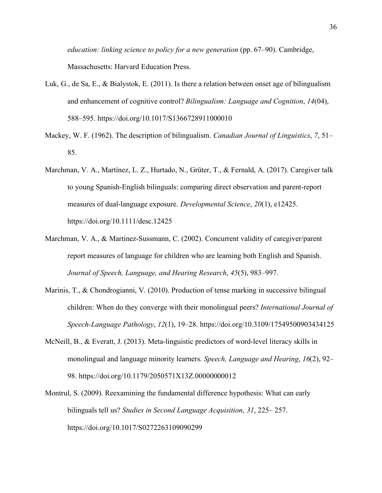*education: linking science to policy for a new generation* (pp. 67–90). Cambridge, Massachusetts: Harvard Education Press.

- Luk, G., de Sa, E., & Bialystok, E. (2011). Is there a relation between onset age of bilingualism and enhancement of cognitive control? *Bilingualism: Language and Cognition*, *14*(04), 588–595. https://doi.org/10.1017/S1366728911000010
- Mackey, W. F. (1962). The description of bilingualism. *Canadian Journal of Linguistics*, *7*, 51– 85.
- Marchman, V. A., Martínez, L. Z., Hurtado, N., Grüter, T., & Fernald, A. (2017). Caregiver talk to young Spanish-English bilinguals: comparing direct observation and parent-report measures of dual-language exposure. *Developmental Science*, *20*(1), e12425. https://doi.org/10.1111/desc.12425
- Marchman, V. A., & Martinez-Sussmann, C. (2002). Concurrent validity of caregiver/parent report measures of language for children who are learning both English and Spanish. *Journal of Speech, Language, and Hearing Research*, *45*(5), 983–997.
- Marinis, T., & Chondrogianni, V. (2010). Production of tense marking in successive bilingual children: When do they converge with their monolingual peers? *International Journal of Speech-Language Pathology*, *12*(1), 19–28. https://doi.org/10.3109/17549500903434125
- McNeill, B., & Everatt, J. (2013). Meta-linguistic predictors of word-level literacy skills in monolingual and language minority learners. *Speech, Language and Hearing*, *16*(2), 92– 98. https://doi.org/10.1179/2050571X13Z.00000000012
- Montrul, S. (2009). Reexamining the fundamental difference hypothesis: What can early bilinguals tell us? *Studies in Second Language Acquisition*, *31*, 225– 257. https://doi.org/10.1017/S0272263109090299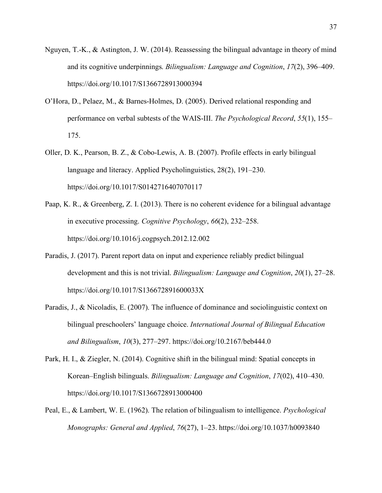- Nguyen, T.-K., & Astington, J. W. (2014). Reassessing the bilingual advantage in theory of mind and its cognitive underpinnings. *Bilingualism: Language and Cognition*, *17*(2), 396–409. https://doi.org/10.1017/S1366728913000394
- O'Hora, D., Pelaez, M., & Barnes-Holmes, D. (2005). Derived relational responding and performance on verbal subtests of the WAIS-III. *The Psychological Record*, *55*(1), 155– 175.
- Oller, D. K., Pearson, B. Z., & Cobo-Lewis, A. B. (2007). Profile effects in early bilingual language and literacy. Applied Psycholinguistics, 28(2), 191–230. https://doi.org/10.1017/S0142716407070117
- Paap, K. R., & Greenberg, Z. I. (2013). There is no coherent evidence for a bilingual advantage in executive processing. *Cognitive Psychology*, *66*(2), 232–258. https://doi.org/10.1016/j.cogpsych.2012.12.002
- Paradis, J. (2017). Parent report data on input and experience reliably predict bilingual development and this is not trivial. *Bilingualism: Language and Cognition*, *20*(1), 27–28. https://doi.org/10.1017/S136672891600033X
- Paradis, J., & Nicoladis, E. (2007). The influence of dominance and sociolinguistic context on bilingual preschoolers' language choice. *International Journal of Bilingual Education and Bilingualism*, *10*(3), 277–297. https://doi.org/10.2167/beb444.0
- Park, H. I., & Ziegler, N. (2014). Cognitive shift in the bilingual mind: Spatial concepts in Korean–English bilinguals. *Bilingualism: Language and Cognition*, *17*(02), 410–430. https://doi.org/10.1017/S1366728913000400
- Peal, E., & Lambert, W. E. (1962). The relation of bilingualism to intelligence. *Psychological Monographs: General and Applied*, *76*(27), 1–23. https://doi.org/10.1037/h0093840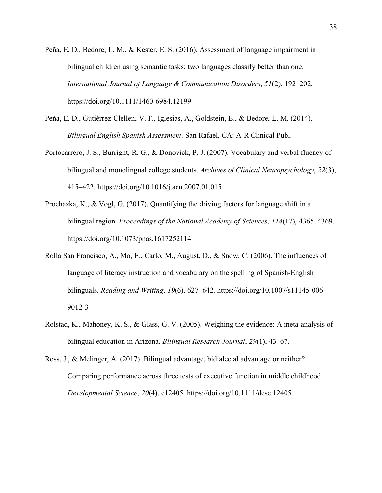- Peña, E. D., Bedore, L. M., & Kester, E. S. (2016). Assessment of language impairment in bilingual children using semantic tasks: two languages classify better than one. *International Journal of Language & Communication Disorders*, *51*(2), 192–202. https://doi.org/10.1111/1460-6984.12199
- Peña, E. D., Gutiérrez-Clellen, V. F., Iglesias, A., Goldstein, B., & Bedore, L. M. (2014). *Bilingual English Spanish Assessment*. San Rafael, CA: A-R Clinical Publ.
- Portocarrero, J. S., Burright, R. G., & Donovick, P. J. (2007). Vocabulary and verbal fluency of bilingual and monolingual college students. *Archives of Clinical Neuropsychology*, *22*(3), 415–422. https://doi.org/10.1016/j.acn.2007.01.015
- Prochazka, K., & Vogl, G. (2017). Quantifying the driving factors for language shift in a bilingual region. *Proceedings of the National Academy of Sciences*, *114*(17), 4365–4369. https://doi.org/10.1073/pnas.1617252114
- Rolla San Francisco, A., Mo, E., Carlo, M., August, D., & Snow, C. (2006). The influences of language of literacy instruction and vocabulary on the spelling of Spanish-English bilinguals. *Reading and Writing*, *19*(6), 627–642. https://doi.org/10.1007/s11145-006- 9012-3
- Rolstad, K., Mahoney, K. S., & Glass, G. V. (2005). Weighing the evidence: A meta-analysis of bilingual education in Arizona. *Bilingual Research Journal*, *29*(1), 43–67.
- Ross, J., & Melinger, A. (2017). Bilingual advantage, bidialectal advantage or neither? Comparing performance across three tests of executive function in middle childhood. *Developmental Science*, *20*(4), e12405. https://doi.org/10.1111/desc.12405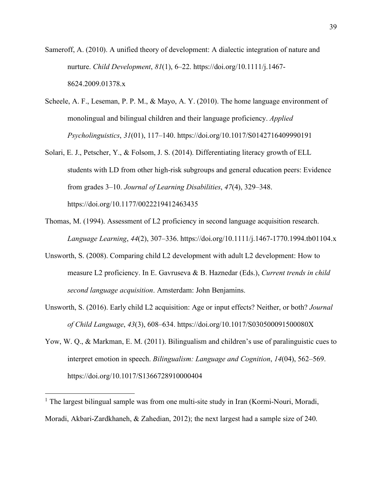- Sameroff, A. (2010). A unified theory of development: A dialectic integration of nature and nurture. *Child Development*, *81*(1), 6–22. https://doi.org/10.1111/j.1467- 8624.2009.01378.x
- Scheele, A. F., Leseman, P. P. M., & Mayo, A. Y. (2010). The home language environment of monolingual and bilingual children and their language proficiency. *Applied Psycholinguistics*, *31*(01), 117–140. https://doi.org/10.1017/S0142716409990191
- Solari, E. J., Petscher, Y., & Folsom, J. S. (2014). Differentiating literacy growth of ELL students with LD from other high-risk subgroups and general education peers: Evidence from grades 3–10. *Journal of Learning Disabilities*, *47*(4), 329–348. https://doi.org/10.1177/0022219412463435
- Thomas, M. (1994). Assessment of L2 proficiency in second language acquisition research. *Language Learning*, *44*(2), 307–336. https://doi.org/10.1111/j.1467-1770.1994.tb01104.x
- Unsworth, S. (2008). Comparing child L2 development with adult L2 development: How to measure L2 proficiency. In E. Gavruseva & B. Haznedar (Eds.), *Current trends in child second language acquisition*. Amsterdam: John Benjamins.
- Unsworth, S. (2016). Early child L2 acquisition: Age or input effects? Neither, or both? *Journal of Child Language*, *43*(3), 608–634. https://doi.org/10.1017/S030500091500080X
- Yow, W. Q., & Markman, E. M. (2011). Bilingualism and children's use of paralinguistic cues to interpret emotion in speech. *Bilingualism: Language and Cognition*, *14*(04), 562–569. https://doi.org/10.1017/S1366728910000404

 $\overline{a}$ 

<sup>&</sup>lt;sup>1</sup> The largest bilingual sample was from one multi-site study in Iran (Kormi-Nouri, Moradi, Moradi, Akbari-Zardkhaneh, & Zahedian, 2012); the next largest had a sample size of 240.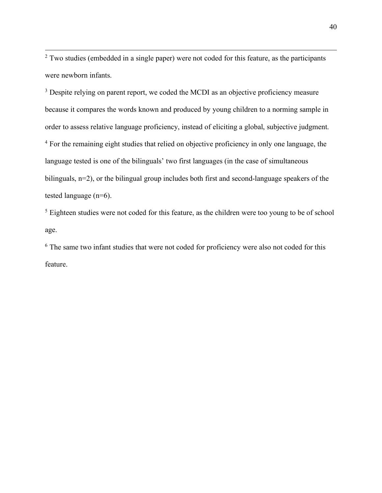<sup>2</sup> Two studies (embedded in a single paper) were not coded for this feature, as the participants were newborn infants.

<sup>3</sup> Despite relying on parent report, we coded the MCDI as an objective proficiency measure because it compares the words known and produced by young children to a norming sample in order to assess relative language proficiency, instead of eliciting a global, subjective judgment. <sup>4</sup> For the remaining eight studies that relied on objective proficiency in only one language, the language tested is one of the bilinguals' two first languages (in the case of simultaneous bilinguals, n=2), or the bilingual group includes both first and second-language speakers of the tested language (n=6).

<sup>5</sup> Eighteen studies were not coded for this feature, as the children were too young to be of school age.

<sup>6</sup> The same two infant studies that were not coded for proficiency were also not coded for this feature.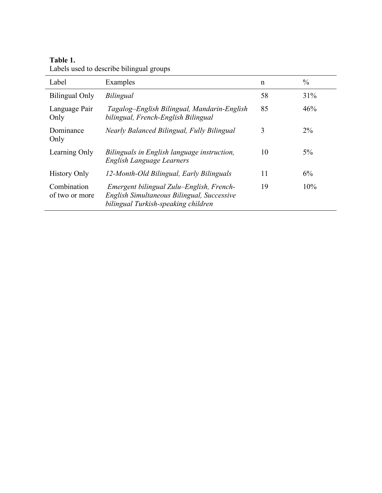## **Table 1.**

| Label                         | Examples                                                                                                                      | n  | $\frac{0}{0}$ |
|-------------------------------|-------------------------------------------------------------------------------------------------------------------------------|----|---------------|
| <b>Bilingual Only</b>         | Bilingual                                                                                                                     | 58 | 31%           |
| Language Pair<br>Only         | Tagalog-English Bilingual, Mandarin-English<br>bilingual, French-English Bilingual                                            | 85 | 46%           |
| Dominance<br>Only             | Nearly Balanced Bilingual, Fully Bilingual                                                                                    | 3  | $2\%$         |
| Learning Only                 | Bilinguals in English language instruction,<br>English Language Learners                                                      | 10 | $5\%$         |
| <b>History Only</b>           | 12-Month-Old Bilingual, Early Bilinguals                                                                                      | 11 | 6%            |
| Combination<br>of two or more | Emergent bilingual Zulu-English, French-<br>English Simultaneous Bilingual, Successive<br>bilingual Turkish-speaking children | 19 | 10%           |

Labels used to describe bilingual groups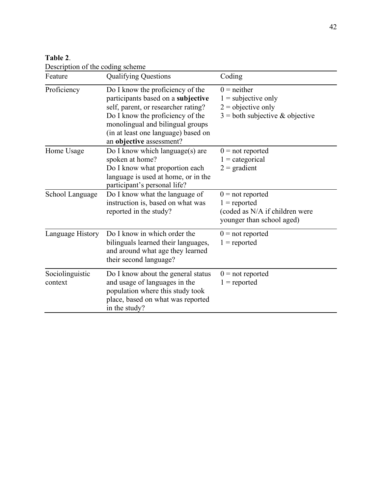| Table 2. |                                  |  |
|----------|----------------------------------|--|
|          | Description of the coding scheme |  |

| Feature                    | <b>Qualifying Questions</b>                                                                                                                                                                                                                              | Coding                                                                                              |
|----------------------------|----------------------------------------------------------------------------------------------------------------------------------------------------------------------------------------------------------------------------------------------------------|-----------------------------------------------------------------------------------------------------|
| Proficiency                | Do I know the proficiency of the<br>participants based on a subjective<br>self, parent, or researcher rating?<br>Do I know the proficiency of the<br>monolingual and bilingual groups<br>(in at least one language) based on<br>an objective assessment? | $0 =$ neither<br>$1 =$ subjective only<br>$2 =$ objective only<br>$3 =$ both subjective & objective |
| Home Usage                 | Do I know which language(s) are<br>spoken at home?<br>Do I know what proportion each<br>language is used at home, or in the<br>participant's personal life?                                                                                              | $0 = not reported$<br>$1 =$ categorical<br>$2 = gradient$                                           |
| School Language            | Do I know what the language of<br>instruction is, based on what was<br>reported in the study?                                                                                                                                                            | $0 = not reported$<br>$1$ = reported<br>(coded as N/A if children were<br>younger than school aged) |
| Language History           | Do I know in which order the<br>bilinguals learned their languages,<br>and around what age they learned<br>their second language?                                                                                                                        | $0 = not reported$<br>$1$ = reported                                                                |
| Sociolinguistic<br>context | Do I know about the general status<br>and usage of languages in the<br>population where this study took<br>place, based on what was reported<br>in the study?                                                                                            | $0 = not reported$<br>$1$ = reported                                                                |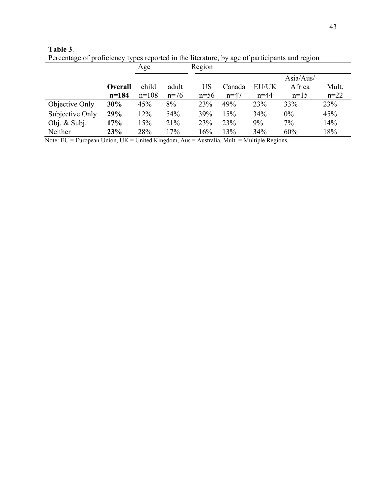| Percentage of proficiency types reported in the literature, by age of participants and region |                |         |        |        |        |          |           |        |
|-----------------------------------------------------------------------------------------------|----------------|---------|--------|--------|--------|----------|-----------|--------|
|                                                                                               |                | Age     |        | Region |        |          |           |        |
|                                                                                               |                |         |        |        |        |          | Asia/Aus/ |        |
|                                                                                               | <b>Overall</b> | child   | adult  | US     | Canada | EU/UK    | Africa    | Mult.  |
|                                                                                               | $n = 184$      | $n=108$ | $n=76$ | $n=56$ | $n=47$ | $n = 44$ | $n=15$    | $n=22$ |
| Objective Only                                                                                | 30%            | 45%     | 8%     | 23%    | 49%    | 23%      | 33%       | 23%    |
| Subjective Only                                                                               | 29%            | 12%     | 54%    | 39%    | 15%    | 34%      | $0\%$     | 45%    |
| Obj. $&$ Subj.                                                                                | 17%            | 15%     | 21%    | 23%    | 23%    | 9%       | $7\%$     | 14%    |

Neither **23%** 28% 17% 16% 13% 34% 60% 18%

**Table 3**. Percentage of proficiency types reported in the literature, by age of participants and region

Note: EU = European Union, UK = United Kingdom, Aus = Australia, Mult. = Multiple Regions.